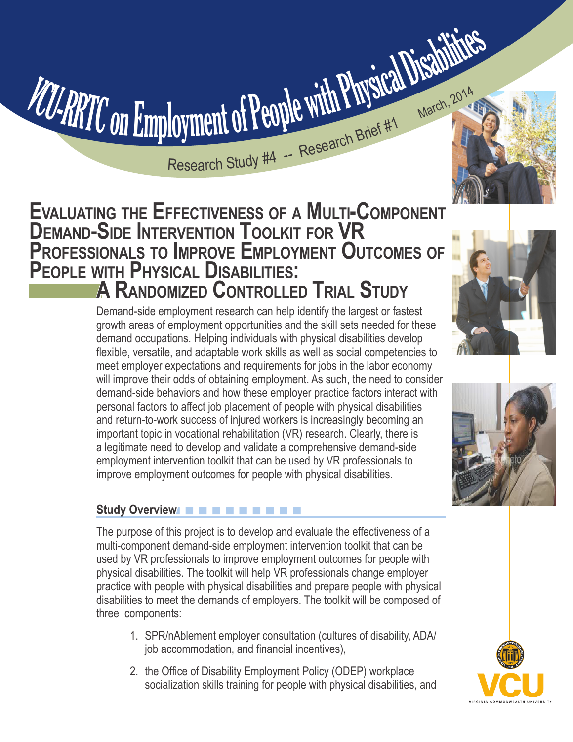

# **Evaluating the Effectiveness of a Multi-Component DEMAND-SIDE INTERVENTION TOOLKIT FOR V Professionals to Improve Employment Outcomes of People with Physical Disabilities: A Randomized Controlled Trial Study**

Demand-side employment research can help identify the largest or fastest growth areas of employment opportunities and the skill sets needed for these demand occupations. Helping individuals with physical disabilities develop flexible, versatile, and adaptable work skills as well as social competencies to meet employer expectations and requirements for jobs in the labor economy will improve their odds of obtaining employment. As such, the need to consider demand-side behaviors and how these employer practice factors interact with personal factors to affect job placement of people with physical disabilities and return-to-work success of injured workers is increasingly becoming an important topic in vocational rehabilitation (VR) research. Clearly, there is a legitimate need to develop and validate a comprehensive demand-side employment intervention toolkit that can be used by VR professionals to improve employment outcomes for people with physical disabilities.

# n n n n n n n n n n **Study Overview**

The purpose of this project is to develop and evaluate the effectiveness of a multi-component demand-side employment intervention toolkit that can be used by VR professionals to improve employment outcomes for people with physical disabilities. The toolkit will help VR professionals change employer practice with people with physical disabilities and prepare people with physical disabilities to meet the demands of employers. The toolkit will be composed of three components:

- 1. SPR/nAblement employer consultation (cultures of disability, ADA/ job accommodation, and financial incentives),
- 2. the Office of Disability Employment Policy (ODEP) workplace socialization skills training for people with physical disabilities, and





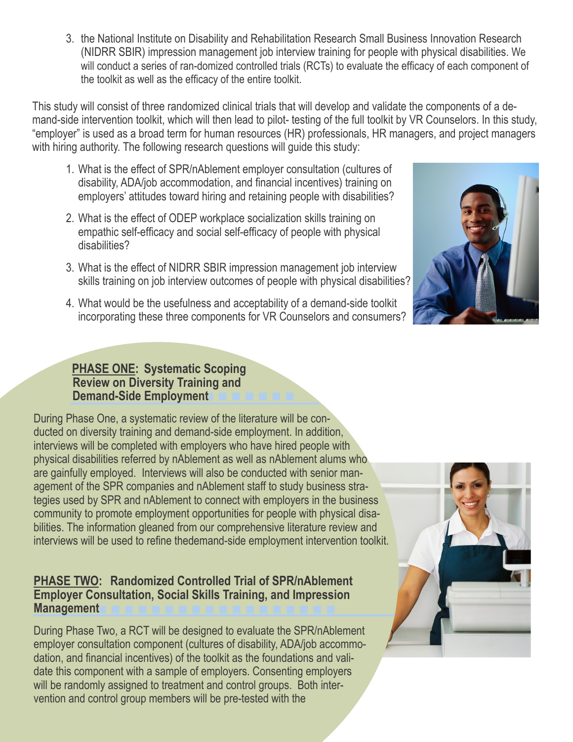3. the National Institute on Disability and Rehabilitation Research Small Business Innovation Research (NIDRR SBIR) impression management job interview training for people with physical disabilities. We will conduct a series of ran-domized controlled trials (RCTs) to evaluate the efficacy of each component of the toolkit as well as the efficacy of the entire toolkit.

This study will consist of three randomized clinical trials that will develop and validate the components of a demand-side intervention toolkit, which will then lead to pilot- testing of the full toolkit by VR Counselors. In this study, "employer" is used as a broad term for human resources (HR) professionals, HR managers, and project managers with hiring authority. The following research questions will guide this study:

- 1. What is the effect of SPR/nAblement employer consultation (cultures of disability, ADA/job accommodation, and financial incentives) training on employers' attitudes toward hiring and retaining people with disabilities?
- 2. What is the effect of ODEP workplace socialization skills training on empathic self-efficacy and social self-efficacy of people with physical disabilities?
- 3. What is the effect of NIDRR SBIR impression management job interview skills training on job interview outcomes of people with physical disabilities?
- 4. What would be the usefulness and acceptability of a demand-side toolkit incorporating these three components for VR Counselors and consumers?



## n n n n n n n  **PHASE ONE: Systematic Scoping Review on Diversity Training and Demand-Side Employment**

During Phase One, a systematic review of the literature will be conducted on diversity training and demand-side employment. In addition, interviews will be completed with employers who have hired people with physical disabilities referred by nAblement as well as nAblement alums who are gainfully employed. Interviews will also be conducted with senior management of the SPR companies and nAblement staff to study business strategies used by SPR and nAblement to connect with employers in the business community to promote employment opportunities for people with physical disabilities. The information gleaned from our comprehensive literature review and interviews will be used to refine thedemand-side employment intervention toolkit.

## n n n n n n n n n n n n n n n n n n **PHASE TWO: Randomized Controlled Trial of SPR/nAblement Employer Consultation, Social Skills Training, and Impression Management**

During Phase Two, a RCT will be designed to evaluate the SPR/nAblement employer consultation component (cultures of disability, ADA/job accommodation, and financial incentives) of the toolkit as the foundations and validate this component with a sample of employers. Consenting employers will be randomly assigned to treatment and control groups. Both intervention and control group members will be pre-tested with the

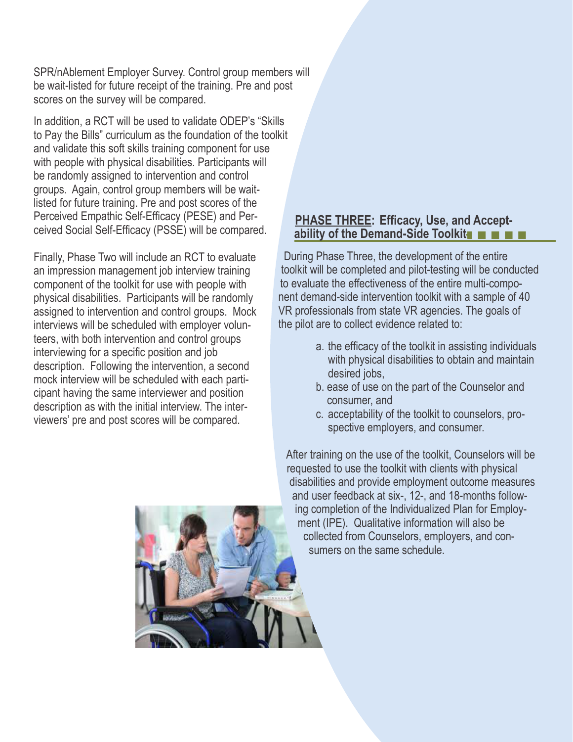SPR/nAblement Employer Survey. Control group members will be wait-listed for future receipt of the training. Pre and post scores on the survey will be compared.

In addition, a RCT will be used to validate ODEP's "Skills to Pay the Bills" curriculum as the foundation of the toolkit and validate this soft skills training component for use with people with physical disabilities. Participants will be randomly assigned to intervention and control groups. Again, control group members will be waitlisted for future training. Pre and post scores of the Perceived Empathic Self-Efficacy (PESE) and Perceived Social Self-Efficacy (PSSE) will be compared.

Finally, Phase Two will include an RCT to evaluate an impression management job interview training component of the toolkit for use with people with physical disabilities. Participants will be randomly assigned to intervention and control groups. Mock interviews will be scheduled with employer volunteers, with both intervention and control groups interviewing for a specific position and job description. Following the intervention, a second mock interview will be scheduled with each participant having the same interviewer and position description as with the initial interview. The interviewers' pre and post scores will be compared.

## **Ability of the Demand-Side Toolkit THE READ PHASE THREE: Efficacy, Use, and Accept-**

 During Phase Three, the development of the entire toolkit will be completed and pilot-testing will be conducted to evaluate the effectiveness of the entire multi-compo nent demand-side intervention toolkit with a sample of 40 VR professionals from state VR agencies. The goals of the pilot are to collect evidence related to:

- a. the efficacy of the toolkit in assisting individuals with physical disabilities to obtain and maintain desired jobs.
- b. ease of use on the part of the Counselor and consumer, and
- c. acceptability of the toolkit to counselors, prospective employers, and consumer.

 After training on the use of the toolkit, Counselors will be requested to use the toolkit with clients with physical disabilities and provide employment outcome measures and user feedback at six-, 12-, and 18-months follow ing completion of the Individualized Plan for Employ ment (IPE). Qualitative information will also be collected from Counselors, employers, and con sumers on the same schedule.